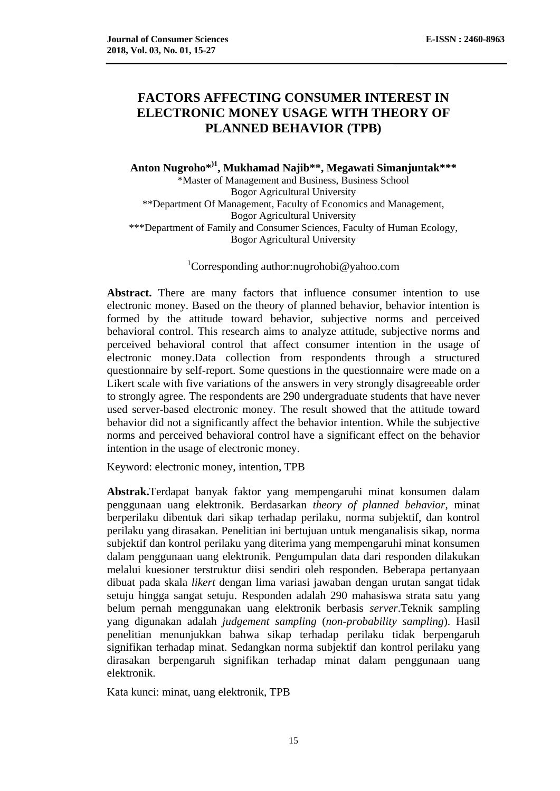# **FACTORS AFFECTING CONSUMER INTEREST IN ELECTRONIC MONEY USAGE WITH THEORY OF PLANNED BEHAVIOR (TPB)**

**Anton Nugroho\*)1 , Mukhamad Najib\*\*, Megawati Simanjuntak\*\*\*** \*Master of Management and Business, Business School Bogor Agricultural University \*\*Department Of Management, Faculty of Economics and Management, Bogor Agricultural University \*\*\*Department of Family and Consumer Sciences, Faculty of Human Ecology, Bogor Agricultural University

<sup>1</sup>Corresponding author: nugrohobi@yahoo.com

**Abstract.** There are many factors that influence consumer intention to use electronic money. Based on the theory of planned behavior, behavior intention is formed by the attitude toward behavior, subjective norms and perceived behavioral control. This research aims to analyze attitude, subjective norms and perceived behavioral control that affect consumer intention in the usage of electronic money.Data collection from respondents through a structured questionnaire by self-report. Some questions in the questionnaire were made on a Likert scale with five variations of the answers in very strongly disagreeable order to strongly agree. The respondents are 290 undergraduate students that have never used server-based electronic money. The result showed that the attitude toward behavior did not a significantly affect the behavior intention. While the subjective norms and perceived behavioral control have a significant effect on the behavior intention in the usage of electronic money.

Keyword: electronic money, intention, TPB

**Abstrak.**Terdapat banyak faktor yang mempengaruhi minat konsumen dalam penggunaan uang elektronik. Berdasarkan *theory of planned behavior*, minat berperilaku dibentuk dari sikap terhadap perilaku, norma subjektif, dan kontrol perilaku yang dirasakan. Penelitian ini bertujuan untuk menganalisis sikap, norma subjektif dan kontrol perilaku yang diterima yang mempengaruhi minat konsumen dalam penggunaan uang elektronik. Pengumpulan data dari responden dilakukan melalui kuesioner terstruktur diisi sendiri oleh responden. Beberapa pertanyaan dibuat pada skala *likert* dengan lima variasi jawaban dengan urutan sangat tidak setuju hingga sangat setuju. Responden adalah 290 mahasiswa strata satu yang belum pernah menggunakan uang elektronik berbasis *server*.Teknik sampling yang digunakan adalah *judgement sampling* (*non-probability sampling*). Hasil penelitian menunjukkan bahwa sikap terhadap perilaku tidak berpengaruh signifikan terhadap minat. Sedangkan norma subjektif dan kontrol perilaku yang dirasakan berpengaruh signifikan terhadap minat dalam penggunaan uang elektronik.

Kata kunci: minat, uang elektronik, TPB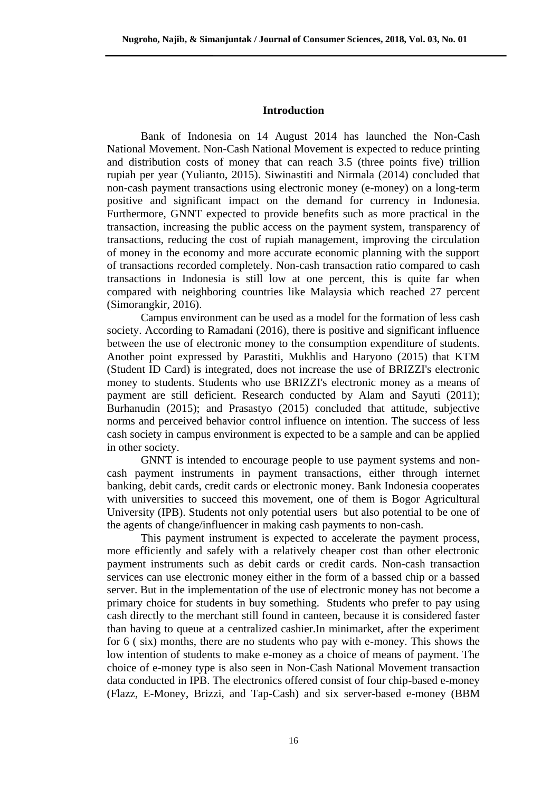## **Introduction**

Bank of Indonesia on 14 August 2014 has launched the Non-Cash National Movement. Non-Cash National Movement is expected to reduce printing and distribution costs of money that can reach 3.5 (three points five) trillion rupiah per year (Yulianto, 2015). Siwinastiti and Nirmala (2014) concluded that non-cash payment transactions using electronic money (e-money) on a long-term positive and significant impact on the demand for currency in Indonesia. Furthermore, GNNT expected to provide benefits such as more practical in the transaction, increasing the public access on the payment system, transparency of transactions, reducing the cost of rupiah management, improving the circulation of money in the economy and more accurate economic planning with the support of transactions recorded completely. Non-cash transaction ratio compared to cash transactions in Indonesia is still low at one percent, this is quite far when compared with neighboring countries like Malaysia which reached 27 percent (Simorangkir, 2016).

Campus environment can be used as a model for the formation of less cash society. According to Ramadani (2016), there is positive and significant influence between the use of electronic money to the consumption expenditure of students. Another point expressed by Parastiti, Mukhlis and Haryono (2015) that KTM (Student ID Card) is integrated, does not increase the use of BRIZZI's electronic money to students. Students who use BRIZZI's electronic money as a means of payment are still deficient. Research conducted by Alam and Sayuti (2011); Burhanudin (2015); and Prasastyo (2015) concluded that attitude, subjective norms and perceived behavior control influence on intention. The success of less cash society in campus environment is expected to be a sample and can be applied in other society.

GNNT is intended to encourage people to use payment systems and noncash payment instruments in payment transactions, either through internet banking, debit cards, credit cards or electronic money. Bank Indonesia cooperates with universities to succeed this movement, one of them is Bogor Agricultural University (IPB). Students not only potential users but also potential to be one of the agents of change/influencer in making cash payments to non-cash.

This payment instrument is expected to accelerate the payment process, more efficiently and safely with a relatively cheaper cost than other electronic payment instruments such as debit cards or credit cards. Non-cash transaction services can use electronic money either in the form of a bassed chip or a bassed server. But in the implementation of the use of electronic money has not become a primary choice for students in buy something. Students who prefer to pay using cash directly to the merchant still found in canteen, because it is considered faster than having to queue at a centralized cashier.In minimarket, after the experiment for 6 ( six) months, there are no students who pay with e-money. This shows the low intention of students to make e-money as a choice of means of payment. The choice of e-money type is also seen in Non-Cash National Movement transaction data conducted in IPB. The electronics offered consist of four chip-based e-money (Flazz, E-Money, Brizzi, and Tap-Cash) and six server-based e-money (BBM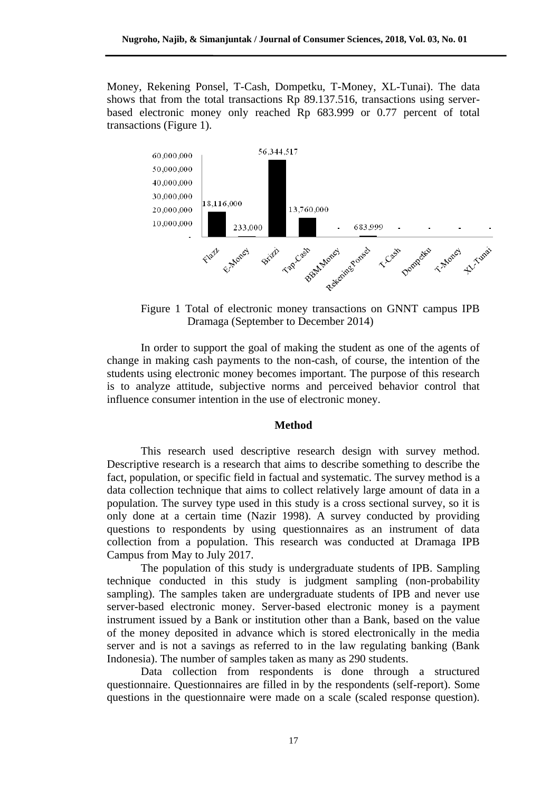Money, Rekening Ponsel, T-Cash, Dompetku, T-Money, XL-Tunai). The data shows that from the total transactions Rp 89.137.516, transactions using serverbased electronic money only reached Rp 683.999 or 0.77 percent of total transactions (Figure 1).



Figure 1 Total of electronic money transactions on GNNT campus IPB Dramaga (September to December 2014)

In order to support the goal of making the student as one of the agents of change in making cash payments to the non-cash, of course, the intention of the students using electronic money becomes important. The purpose of this research is to analyze attitude, subjective norms and perceived behavior control that influence consumer intention in the use of electronic money.

## **Method**

This research used descriptive research design with survey method. Descriptive research is a research that aims to describe something to describe the fact, population, or specific field in factual and systematic. The survey method is a data collection technique that aims to collect relatively large amount of data in a population. The survey type used in this study is a cross sectional survey, so it is only done at a certain time (Nazir 1998). A survey conducted by providing questions to respondents by using questionnaires as an instrument of data collection from a population. This research was conducted at Dramaga IPB Campus from May to July 2017.

The population of this study is undergraduate students of IPB. Sampling technique conducted in this study is judgment sampling (non-probability sampling). The samples taken are undergraduate students of IPB and never use server-based electronic money. Server-based electronic money is a payment instrument issued by a Bank or institution other than a Bank, based on the value of the money deposited in advance which is stored electronically in the media server and is not a savings as referred to in the law regulating banking (Bank Indonesia). The number of samples taken as many as 290 students.

Data collection from respondents is done through a structured questionnaire. Questionnaires are filled in by the respondents (self-report). Some questions in the questionnaire were made on a scale (scaled response question).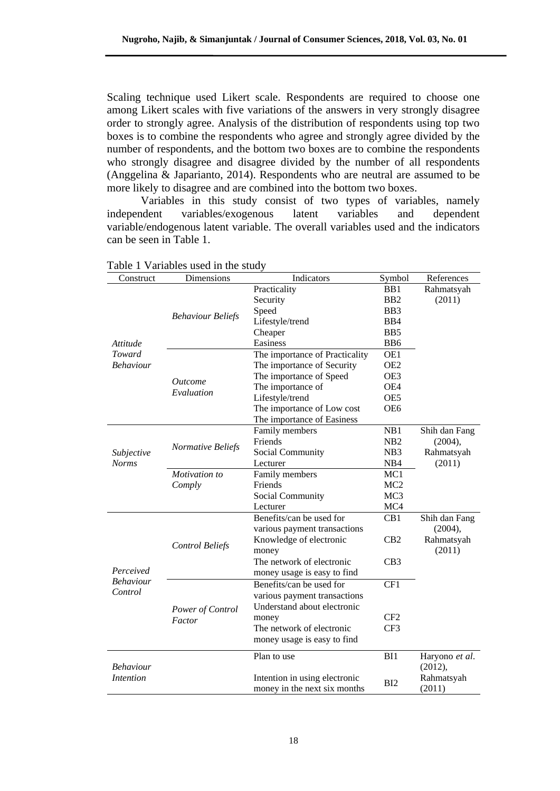Scaling technique used Likert scale. Respondents are required to choose one among Likert scales with five variations of the answers in very strongly disagree order to strongly agree. Analysis of the distribution of respondents using top two boxes is to combine the respondents who agree and strongly agree divided by the number of respondents, and the bottom two boxes are to combine the respondents who strongly disagree and disagree divided by the number of all respondents (Anggelina & Japarianto, 2014). Respondents who are neutral are assumed to be more likely to disagree and are combined into the bottom two boxes.

Variables in this study consist of two types of variables, namely independent variables/exogenous latent variables and dependent variable/endogenous latent variable. The overall variables used and the indicators can be seen in Table 1.

| Construct                            | Dimensions                 | Indicators                     | Symbol           | References     |
|--------------------------------------|----------------------------|--------------------------------|------------------|----------------|
|                                      |                            | Practicality                   | B <sub>B1</sub>  | Rahmatsyah     |
|                                      |                            | Security                       | B <sub>B2</sub>  | (2011)         |
|                                      |                            | Speed                          | B <sub>B</sub> 3 |                |
|                                      | <b>Behaviour Beliefs</b>   | Lifestyle/trend                | B <sub>B4</sub>  |                |
|                                      |                            | Cheaper                        | B <sub>B5</sub>  |                |
| Attitude                             |                            | Easiness                       | BB6              |                |
| Toward                               |                            | The importance of Practicality | OE1              |                |
| <b>Behaviour</b>                     |                            | The importance of Security     | OE <sub>2</sub>  |                |
|                                      |                            | The importance of Speed        | OE3              |                |
|                                      | <i>Outcome</i>             | The importance of              | OE4              |                |
|                                      | Evaluation                 | Lifestyle/trend                | OE5              |                |
|                                      |                            | The importance of Low cost     | OE <sub>6</sub>  |                |
|                                      |                            | The importance of Easiness     |                  |                |
|                                      |                            | Family members                 | NB1              | Shih dan Fang  |
|                                      |                            | Friends                        | N <sub>B</sub> 2 | (2004),        |
| Subjective                           | Normative Beliefs          | Social Community               | N <sub>B</sub> 3 | Rahmatsyah     |
| <b>Norms</b>                         |                            | Lecturer                       | NB4              | (2011)         |
|                                      | Motivation to              | Family members                 | MC1              |                |
|                                      | Comply                     | Friends                        | MC <sub>2</sub>  |                |
|                                      |                            | Social Community               | MC <sub>3</sub>  |                |
|                                      |                            | Lecturer                       | MC4              |                |
|                                      |                            | Benefits/can be used for       | CB1              | Shih dan Fang  |
|                                      |                            | various payment transactions   |                  | (2004),        |
|                                      | <b>Control Beliefs</b>     | Knowledge of electronic        | CB <sub>2</sub>  | Rahmatsyah     |
|                                      |                            | money                          |                  | (2011)         |
|                                      |                            | The network of electronic      | CB3              |                |
| Perceived                            |                            | money usage is easy to find    |                  |                |
| <b>Behaviour</b>                     |                            | Benefits/can be used for       | CF1              |                |
| Control                              | Power of Control<br>Factor | various payment transactions   |                  |                |
| <b>Behaviour</b><br><i>Intention</i> |                            | Understand about electronic    |                  |                |
|                                      |                            | money                          | CF2              |                |
|                                      |                            | The network of electronic      | CF <sub>3</sub>  |                |
|                                      |                            | money usage is easy to find    |                  |                |
|                                      |                            |                                |                  |                |
|                                      |                            | Plan to use                    | BI1              | Haryono et al. |
|                                      |                            |                                |                  | (2012),        |
|                                      |                            | Intention in using electronic  | BI2              | Rahmatsyah     |
|                                      |                            | money in the next six months   |                  | (2011)         |

Table 1 Variables used in the study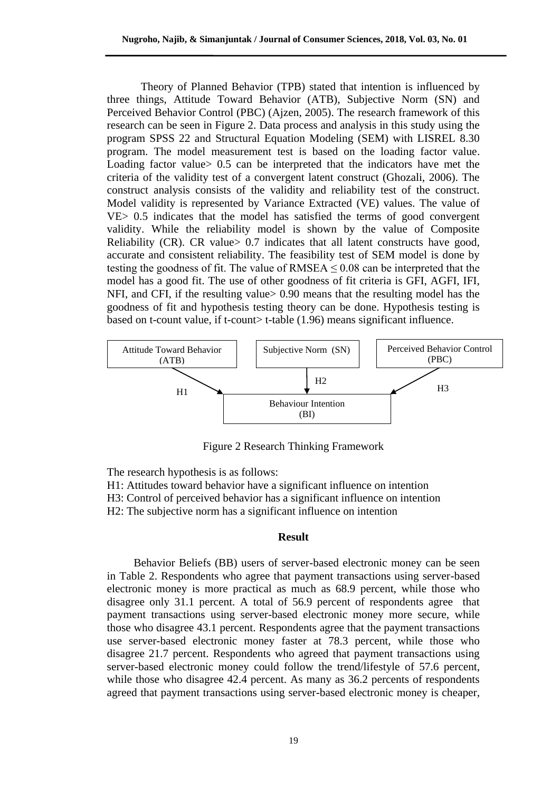Theory of Planned Behavior (TPB) stated that intention is influenced by three things, Attitude Toward Behavior (ATB), Subjective Norm (SN) and Perceived Behavior Control (PBC) (Ajzen, 2005). The research framework of this research can be seen in Figure 2. Data process and analysis in this study using the program SPSS 22 and Structural Equation Modeling (SEM) with LISREL 8.30 program. The model measurement test is based on the loading factor value. Loading factor value> 0.5 can be interpreted that the indicators have met the criteria of the validity test of a convergent latent construct (Ghozali, 2006). The construct analysis consists of the validity and reliability test of the construct. Model validity is represented by Variance Extracted (VE) values. The value of VE> 0.5 indicates that the model has satisfied the terms of good convergent validity. While the reliability model is shown by the value of Composite Reliability (CR). CR value > 0.7 indicates that all latent constructs have good, accurate and consistent reliability. The feasibility test of SEM model is done by testing the goodness of fit. The value of  $RMSEA \leq 0.08$  can be interpreted that the model has a good fit. The use of other goodness of fit criteria is GFI, AGFI, IFI, NFI, and CFI, if the resulting value> 0.90 means that the resulting model has the goodness of fit and hypothesis testing theory can be done. Hypothesis testing is based on t-count value, if t-count> t-table (1.96) means significant influence.



Figure 2 Research Thinking Framework

The research hypothesis is as follows:

- H1: Attitudes toward behavior have a significant influence on intention
- H3: Control of perceived behavior has a significant influence on intention
- H2: The subjective norm has a significant influence on intention

## **Result**

Behavior Beliefs (BB) users of server-based electronic money can be seen in Table 2. Respondents who agree that payment transactions using server-based electronic money is more practical as much as 68.9 percent, while those who disagree only 31.1 percent. A total of 56.9 percent of respondents agree that payment transactions using server-based electronic money more secure, while those who disagree 43.1 percent. Respondents agree that the payment transactions use server-based electronic money faster at 78.3 percent, while those who disagree 21.7 percent. Respondents who agreed that payment transactions using server-based electronic money could follow the trend/lifestyle of 57.6 percent, while those who disagree 42.4 percent. As many as 36.2 percents of respondents agreed that payment transactions using server-based electronic money is cheaper,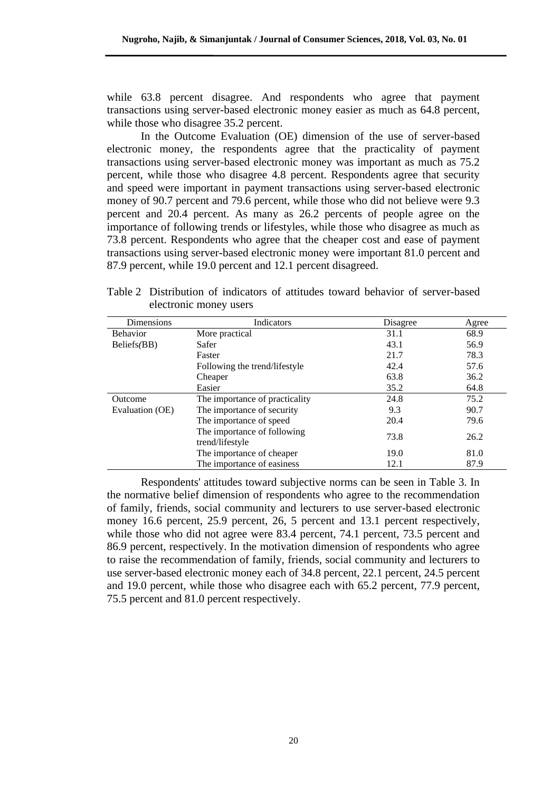while 63.8 percent disagree. And respondents who agree that payment transactions using server-based electronic money easier as much as 64.8 percent, while those who disagree 35.2 percent.

In the Outcome Evaluation (OE) dimension of the use of server-based electronic money, the respondents agree that the practicality of payment transactions using server-based electronic money was important as much as 75.2 percent, while those who disagree 4.8 percent. Respondents agree that security and speed were important in payment transactions using server-based electronic money of 90.7 percent and 79.6 percent, while those who did not believe were 9.3 percent and 20.4 percent. As many as 26.2 percents of people agree on the importance of following trends or lifestyles, while those who disagree as much as 73.8 percent. Respondents who agree that the cheaper cost and ease of payment transactions using server-based electronic money were important 81.0 percent and 87.9 percent, while 19.0 percent and 12.1 percent disagreed.

Table 2 Distribution of indicators of attitudes toward behavior of server-based electronic money users

| Dimensions      | Indicators                                     | Disagree | Agree |
|-----------------|------------------------------------------------|----------|-------|
| <b>Behavior</b> | More practical                                 | 31.1     | 68.9  |
| Beliefs(BB)     | Safer                                          | 43.1     | 56.9  |
|                 | Faster                                         | 21.7     | 78.3  |
|                 | Following the trend/lifestyle                  | 42.4     | 57.6  |
|                 | Cheaper                                        | 63.8     | 36.2  |
|                 | Easier                                         | 35.2     | 64.8  |
| Outcome         | The importance of practicality                 | 24.8     | 75.2  |
| Evaluation (OE) | The importance of security                     | 9.3      | 90.7  |
|                 | The importance of speed                        | 20.4     | 79.6  |
|                 | The importance of following<br>trend/lifestyle | 73.8     | 26.2  |
|                 | The importance of cheaper                      | 19.0     | 81.0  |
|                 | The importance of easiness                     | 12.1     | 87.9  |

Respondents' attitudes toward subjective norms can be seen in Table 3. In the normative belief dimension of respondents who agree to the recommendation of family, friends, social community and lecturers to use server-based electronic money 16.6 percent, 25.9 percent, 26, 5 percent and 13.1 percent respectively, while those who did not agree were 83.4 percent, 74.1 percent, 73.5 percent and 86.9 percent, respectively. In the motivation dimension of respondents who agree to raise the recommendation of family, friends, social community and lecturers to use server-based electronic money each of 34.8 percent, 22.1 percent, 24.5 percent and 19.0 percent, while those who disagree each with 65.2 percent, 77.9 percent, 75.5 percent and 81.0 percent respectively.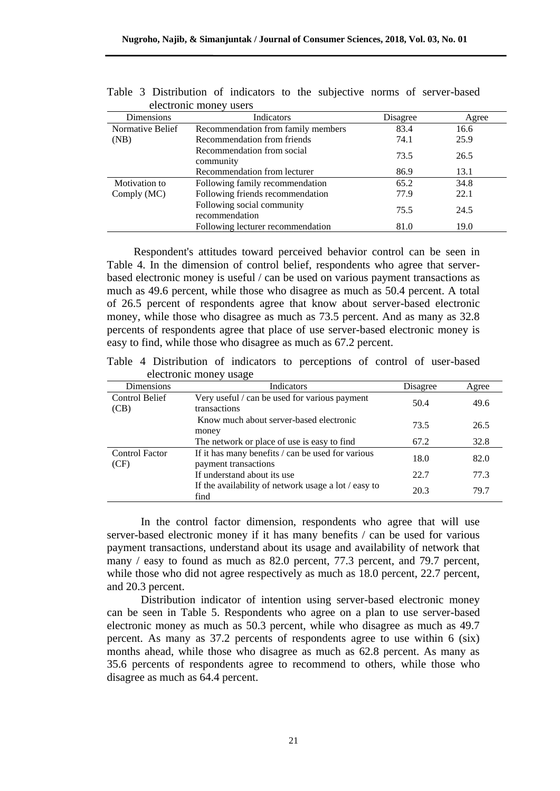| electronic money users |                                              |          |       |
|------------------------|----------------------------------------------|----------|-------|
| Dimensions             | Indicators                                   | Disagree | Agree |
| Normative Belief       | Recommendation from family members           | 83.4     | 16.6  |
| (NB)                   | Recommendation from friends                  | 74.1     | 25.9  |
|                        | Recommendation from social<br>community      | 73.5     | 26.5  |
|                        | Recommendation from lecturer                 | 86.9     | 13.1  |
| Motivation to          | Following family recommendation              | 65.2     | 34.8  |
| Comply (MC)            | Following friends recommendation             | 77.9     | 22.1  |
|                        | Following social community<br>recommendation | 75.5     | 24.5  |
|                        | Following lecturer recommendation            | 81.0     | 19.0  |

Table 3 Distribution of indicators to the subjective norms of server-based electronic money users

Respondent's attitudes toward perceived behavior control can be seen in Table 4. In the dimension of control belief, respondents who agree that serverbased electronic money is useful / can be used on various payment transactions as much as 49.6 percent, while those who disagree as much as 50.4 percent. A total of 26.5 percent of respondents agree that know about server-based electronic money, while those who disagree as much as 73.5 percent. And as many as 32.8 percents of respondents agree that place of use server-based electronic money is easy to find, while those who disagree as much as 67.2 percent.

Table 4 Distribution of indicators to perceptions of control of user-based electronic money usage

| <b>Dimensions</b>             | $\sqrt{ }$<br>Indicators                                                       | Disagree | Agree |
|-------------------------------|--------------------------------------------------------------------------------|----------|-------|
| Control Belief<br>(CB)        | Very useful / can be used for various payment<br>transactions                  | 50.4     | 49.6  |
|                               | Know much about server-based electronic<br>money                               | 73.5     | 26.5  |
|                               | The network or place of use is easy to find                                    | 67.2     | 32.8  |
| <b>Control Factor</b><br>(CF) | If it has many benefits $\ell$ can be used for various<br>payment transactions | 18.0     | 82.0  |
|                               | If understand about its use                                                    | 22.7     | 77.3  |
|                               | If the availability of network usage a lot / easy to<br>find                   | 20.3     | 79.7  |

In the control factor dimension, respondents who agree that will use server-based electronic money if it has many benefits / can be used for various payment transactions, understand about its usage and availability of network that many / easy to found as much as 82.0 percent, 77.3 percent, and 79.7 percent, while those who did not agree respectively as much as 18.0 percent, 22.7 percent, and 20.3 percent.

Distribution indicator of intention using server-based electronic money can be seen in Table 5. Respondents who agree on a plan to use server-based electronic money as much as 50.3 percent, while who disagree as much as 49.7 percent. As many as 37.2 percents of respondents agree to use within 6 (six) months ahead, while those who disagree as much as 62.8 percent. As many as 35.6 percents of respondents agree to recommend to others, while those who disagree as much as 64.4 percent.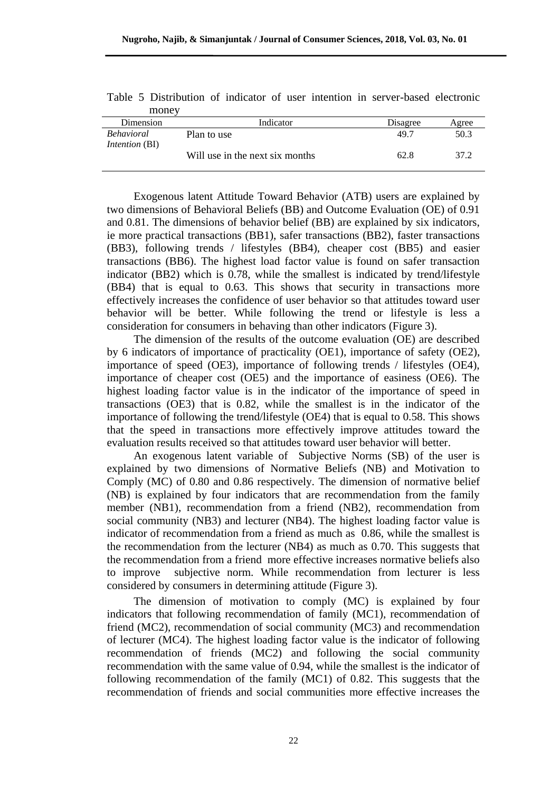| <b>HIQHEY</b>                              |                                 |              |       |
|--------------------------------------------|---------------------------------|--------------|-------|
| Dimension                                  | Indicator                       | Disagree     | Agree |
| <i>Behavioral</i><br><i>Intention</i> (BI) | Plan to use                     | 49.7<br>50.3 |       |
|                                            | Will use in the next six months | 62.8         | 37.2  |

Table 5 Distribution of indicator of user intention in server-based electronic money

Exogenous latent Attitude Toward Behavior (ATB) users are explained by two dimensions of Behavioral Beliefs (BB) and Outcome Evaluation (OE) of 0.91 and 0.81. The dimensions of behavior belief (BB) are explained by six indicators, ie more practical transactions (BB1), safer transactions (BB2), faster transactions (BB3), following trends / lifestyles (BB4), cheaper cost (BB5) and easier transactions (BB6). The highest load factor value is found on safer transaction indicator (BB2) which is 0.78, while the smallest is indicated by trend/lifestyle (BB4) that is equal to 0.63. This shows that security in transactions more effectively increases the confidence of user behavior so that attitudes toward user behavior will be better. While following the trend or lifestyle is less a consideration for consumers in behaving than other indicators (Figure 3).

The dimension of the results of the outcome evaluation (OE) are described by 6 indicators of importance of practicality (OE1), importance of safety (OE2), importance of speed (OE3), importance of following trends / lifestyles (OE4), importance of cheaper cost (OE5) and the importance of easiness (OE6). The highest loading factor value is in the indicator of the importance of speed in transactions (OE3) that is 0.82, while the smallest is in the indicator of the importance of following the trend/lifestyle (OE4) that is equal to 0.58. This shows that the speed in transactions more effectively improve attitudes toward the evaluation results received so that attitudes toward user behavior will better.

An exogenous latent variable of Subjective Norms (SB) of the user is explained by two dimensions of Normative Beliefs (NB) and Motivation to Comply (MC) of 0.80 and 0.86 respectively. The dimension of normative belief (NB) is explained by four indicators that are recommendation from the family member (NB1), recommendation from a friend (NB2), recommendation from social community (NB3) and lecturer (NB4). The highest loading factor value is indicator of recommendation from a friend as much as 0.86, while the smallest is the recommendation from the lecturer (NB4) as much as 0.70. This suggests that the recommendation from a friend more effective increases normative beliefs also to improve subjective norm. While recommendation from lecturer is less considered by consumers in determining attitude (Figure 3).

The dimension of motivation to comply (MC) is explained by four indicators that following recommendation of family (MC1), recommendation of friend (MC2), recommendation of social community (MC3) and recommendation of lecturer (MC4). The highest loading factor value is the indicator of following recommendation of friends (MC2) and following the social community recommendation with the same value of 0.94, while the smallest is the indicator of following recommendation of the family (MC1) of 0.82. This suggests that the recommendation of friends and social communities more effective increases the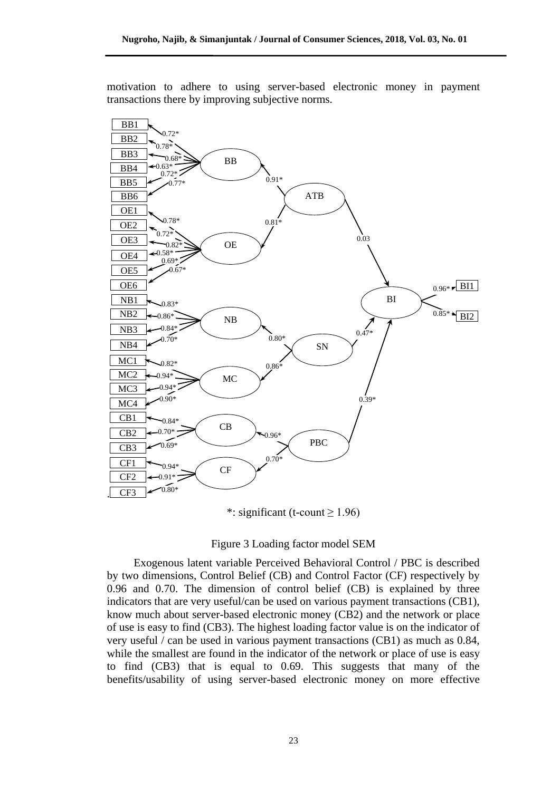

motivation to adhere to using server-based electronic money in payment transactions there by improving subjective norms.

\*: significant (t-count  $\geq$  1.96)

## Figure 3 Loading factor model SEM

Exogenous latent variable Perceived Behavioral Control / PBC is described by two dimensions, Control Belief (CB) and Control Factor (CF) respectively by 0.96 and 0.70. The dimension of control belief (CB) is explained by three indicators that are very useful/can be used on various payment transactions (CB1), know much about server-based electronic money (CB2) and the network or place of use is easy to find (CB3). The highest loading factor value is on the indicator of very useful / can be used in various payment transactions (CB1) as much as 0.84, while the smallest are found in the indicator of the network or place of use is easy to find (CB3) that is equal to 0.69. This suggests that many of the benefits/usability of using server-based electronic money on more effective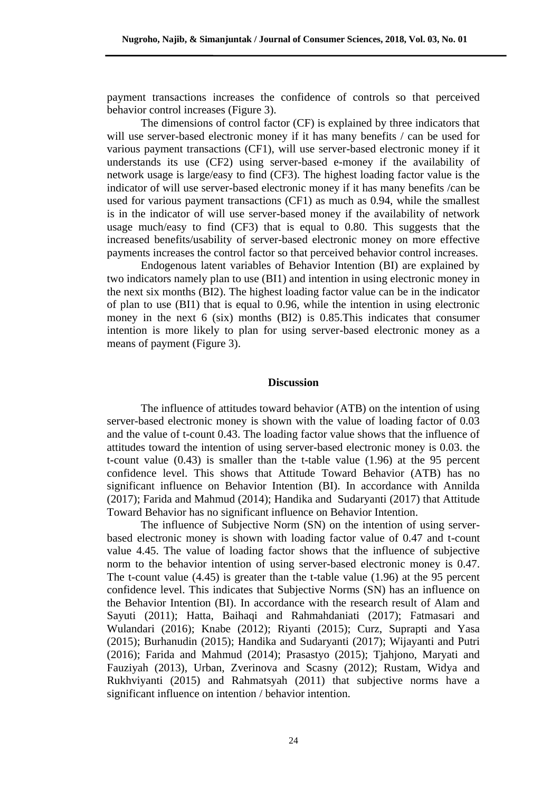payment transactions increases the confidence of controls so that perceived behavior control increases (Figure 3).

The dimensions of control factor (CF) is explained by three indicators that will use server-based electronic money if it has many benefits / can be used for various payment transactions (CF1), will use server-based electronic money if it understands its use (CF2) using server-based e-money if the availability of network usage is large/easy to find (CF3). The highest loading factor value is the indicator of will use server-based electronic money if it has many benefits /can be used for various payment transactions (CF1) as much as 0.94, while the smallest is in the indicator of will use server-based money if the availability of network usage much/easy to find (CF3) that is equal to 0.80. This suggests that the increased benefits/usability of server-based electronic money on more effective payments increases the control factor so that perceived behavior control increases.

Endogenous latent variables of Behavior Intention (BI) are explained by two indicators namely plan to use (BI1) and intention in using electronic money in the next six months (BI2). The highest loading factor value can be in the indicator of plan to use (BI1) that is equal to 0.96, while the intention in using electronic money in the next 6 (six) months (BI2) is 0.85.This indicates that consumer intention is more likely to plan for using server-based electronic money as a means of payment (Figure 3).

#### **Discussion**

The influence of attitudes toward behavior (ATB) on the intention of using server-based electronic money is shown with the value of loading factor of 0.03 and the value of t-count 0.43. The loading factor value shows that the influence of attitudes toward the intention of using server-based electronic money is 0.03. the t-count value (0.43) is smaller than the t-table value (1.96) at the 95 percent confidence level. This shows that Attitude Toward Behavior (ATB) has no significant influence on Behavior Intention (BI). In accordance with Annilda (2017); Farida and Mahmud (2014); Handika and Sudaryanti (2017) that Attitude Toward Behavior has no significant influence on Behavior Intention.

The influence of Subjective Norm (SN) on the intention of using serverbased electronic money is shown with loading factor value of 0.47 and t-count value 4.45. The value of loading factor shows that the influence of subjective norm to the behavior intention of using server-based electronic money is 0.47. The t-count value (4.45) is greater than the t-table value (1.96) at the 95 percent confidence level. This indicates that Subjective Norms (SN) has an influence on the Behavior Intention (BI). In accordance with the research result of Alam and Sayuti (2011); Hatta, Baihaqi and Rahmahdaniati (2017); Fatmasari and Wulandari (2016); Knabe (2012); Riyanti (2015); Curz, Suprapti and Yasa (2015); Burhanudin (2015); Handika and Sudaryanti (2017); Wijayanti and Putri (2016); Farida and Mahmud (2014); Prasastyo (2015); Tjahjono, Maryati and Fauziyah (2013), Urban, Zverinova and Scasny (2012); Rustam, Widya and Rukhviyanti (2015) and Rahmatsyah (2011) that subjective norms have a significant influence on intention / behavior intention.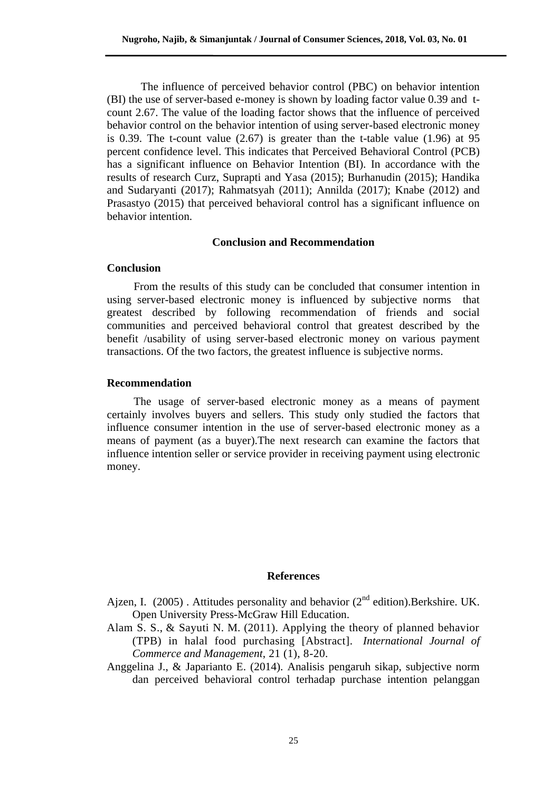The influence of perceived behavior control (PBC) on behavior intention (BI) the use of server-based e-money is shown by loading factor value 0.39 and tcount 2.67. The value of the loading factor shows that the influence of perceived behavior control on the behavior intention of using server-based electronic money is 0.39. The t-count value (2.67) is greater than the t-table value (1.96) at 95 percent confidence level. This indicates that Perceived Behavioral Control (PCB) has a significant influence on Behavior Intention (BI). In accordance with the results of research Curz, Suprapti and Yasa (2015); Burhanudin (2015); Handika and Sudaryanti (2017); Rahmatsyah (2011); Annilda (2017); Knabe (2012) and Prasastyo (2015) that perceived behavioral control has a significant influence on behavior intention.

# **Conclusion and Recommendation**

## **Conclusion**

From the results of this study can be concluded that consumer intention in using server-based electronic money is influenced by subjective norms that greatest described by following recommendation of friends and social communities and perceived behavioral control that greatest described by the benefit /usability of using server-based electronic money on various payment transactions. Of the two factors, the greatest influence is subjective norms.

## **Recommendation**

The usage of server-based electronic money as a means of payment certainly involves buyers and sellers. This study only studied the factors that influence consumer intention in the use of server-based electronic money as a means of payment (as a buyer).The next research can examine the factors that influence intention seller or service provider in receiving payment using electronic money.

# **References**

- Ajzen, I. (2005). Attitudes personality and behavior ( $2<sup>nd</sup>$  edition). Berkshire. UK. Open University Press-McGraw Hill Education.
- Alam S. S., [& Sayuti](http://www.emeraldinsight.com/author/Mohamed+Sayuti%2C+Nazura) N. M. (2011). Applying the theory of planned behavior (TPB) in halal food purchasing [Abstract]*. International Journal of Commerce and Management*, 21 (1), 8-20.
- Anggelina J., & Japarianto E. (2014). Analisis pengaruh sikap, subjective norm dan perceived behavioral control terhadap purchase intention pelanggan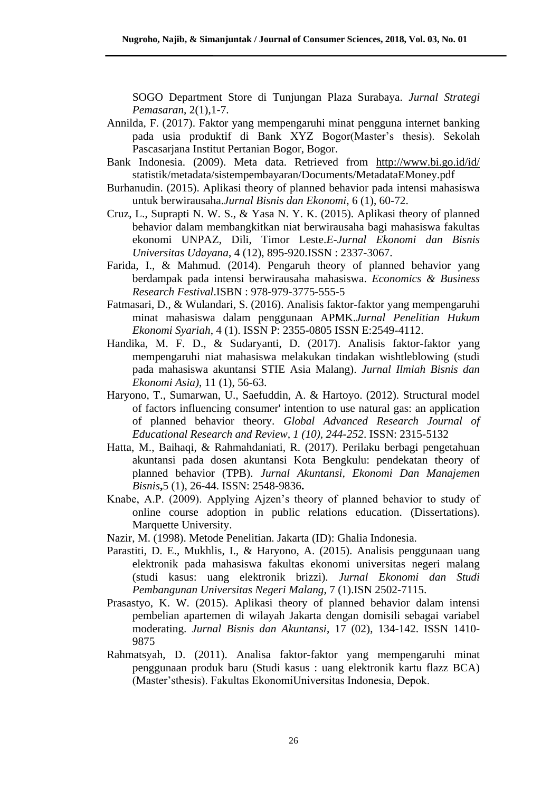SOGO Department Store di Tunjungan Plaza Surabaya. *Jurnal Strategi Pemasaran*, 2(1),1-7.

- Annilda, F. (2017). Faktor yang mempengaruhi minat pengguna internet banking pada usia produktif di Bank XYZ Bogor(Master's thesis). Sekolah Pascasarjana Institut Pertanian Bogor, Bogor.
- Bank Indonesia. (2009). Meta data. Retrieved from <http://www.bi.go.id/id/> statistik/metadata/sistempembayaran/Documents/MetadataEMoney.pdf
- Burhanudin. (2015). Aplikasi theory of planned behavior pada intensi mahasiswa untuk berwirausaha.*Jurnal Bisnis dan Ekonomi*, 6 (1), 60-72.
- Cruz, L., Suprapti N. W. S., & Yasa N. Y. K. (2015). Aplikasi theory of planned behavior dalam membangkitkan niat berwirausaha bagi mahasiswa fakultas ekonomi UNPAZ, Dili, Timor Leste.*E-Jurnal Ekonomi dan Bisnis Universitas Udayana*, 4 (12), 895-920.ISSN : 2337-3067.
- Farida, I., & Mahmud. (2014). Pengaruh theory of planned behavior yang berdampak pada intensi berwirausaha mahasiswa. *Economics & Business Research Festival*.ISBN : 978-979-3775-555-5
- Fatmasari, D., & Wulandari, S. (2016). Analisis faktor-faktor yang mempengaruhi minat mahasiswa dalam penggunaan APMK.*Jurnal Penelitian Hukum Ekonomi Syariah*, 4 (1). ISSN P: 2355-0805 ISSN E:2549-4112.
- Handika, M. F. D., & Sudaryanti, D. (2017). Analisis faktor-faktor yang mempengaruhi niat mahasiswa melakukan tindakan wishtleblowing (studi pada mahasiswa akuntansi STIE Asia Malang). *Jurnal Ilmiah Bisnis dan Ekonomi Asia)*, 11 (1), 56-63.
- Haryono, T., Sumarwan, U., Saefuddin, A. & Hartoyo. (2012). Structural model of factors influencing consumer' intention to use natural gas: an application of planned behavior theory. *Global Advanced Research Journal of Educational Research and Review, 1 (10), 244-252*. ISSN: 2315-5132
- Hatta, M., Baihaqi, & Rahmahdaniati, R. (2017). Perilaku berbagi pengetahuan akuntansi pada dosen akuntansi Kota Bengkulu: pendekatan theory of planned behavior (TPB). *Jurnal Akuntansi, Ekonomi Dan Manajemen Bisnis***,**5 (1), 26-44. ISSN: 2548-9836**.**
- Knabe, A.P. (2009). Applying Ajzen's theory of planned behavior to study of online course adoption in public relations education. (Dissertations). Marquette University.
- Nazir, M. (1998). Metode Penelitian. Jakarta (ID): Ghalia Indonesia.
- Parastiti, D. E., Mukhlis, I., & Haryono, A. (2015). Analisis penggunaan uang elektronik pada mahasiswa fakultas ekonomi universitas negeri malang (studi kasus: uang elektronik brizzi). *Jurnal Ekonomi dan Studi Pembangunan Universitas Negeri Malang*, 7 (1).ISN 2502-7115.
- Prasastyo, K. W. (2015). Aplikasi theory of planned behavior dalam intensi pembelian apartemen di wilayah Jakarta dengan domisili sebagai variabel moderating. *Jurnal Bisnis dan Akuntansi*, 17 (02), 134-142. ISSN 1410- 9875
- Rahmatsyah, D. (2011). Analisa faktor-faktor yang mempengaruhi minat penggunaan produk baru (Studi kasus : uang elektronik kartu flazz BCA) (Master'sthesis). Fakultas EkonomiUniversitas Indonesia, Depok.